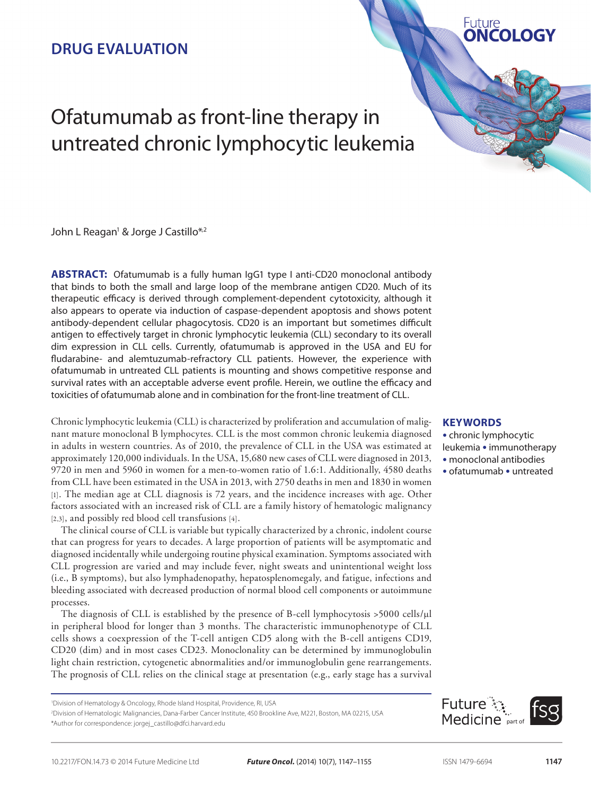## **DRUG EVALUATION**

# Ofatumumab as front-line therapy in untreated chronic lymphocytic leukemia

John L Reagan<sup>1</sup> & Jorge J Castillo\*<sup>,2</sup>

**ABSTRACT:** Ofatumumab is a fully human IgG1 type I anti-CD20 monoclonal antibody that binds to both the small and large loop of the membrane antigen CD20. Much of its therapeutic efficacy is derived through complement-dependent cytotoxicity, although it also appears to operate via induction of caspase-dependent apoptosis and shows potent antibody-dependent cellular phagocytosis. CD20 is an important but sometimes difficult antigen to effectively target in chronic lymphocytic leukemia (CLL) secondary to its overall dim expression in CLL cells. Currently, ofatumumab is approved in the USA and EU for fludarabine- and alemtuzumab-refractory CLL patients. However, the experience with ofatumumab in untreated CLL patients is mounting and shows competitive response and survival rates with an acceptable adverse event profile. Herein, we outline the efficacy and toxicities of ofatumumab alone and in combination for the front-line treatment of CLL.

Chronic lymphocytic leukemia (CLL) is characterized by proliferation and accumulation of malignant mature monoclonal B lymphocytes. CLL is the most common chronic leukemia diagnosed in adults in western countries. As of 2010, the prevalence of CLL in the USA was estimated at approximately 120,000 individuals. In the USA, 15,680 new cases of CLL were diagnosed in 2013, 9720 in men and 5960 in women for a men-to-women ratio of 1.6:1. Additionally, 4580 deaths from CLL have been estimated in the USA in 2013, with 2750 deaths in men and 1830 in women [1]. The median age at CLL diagnosis is 72 years, and the incidence increases with age. Other factors associated with an increased risk of CLL are a family history of hematologic malignancy [2,3], and possibly red blood cell transfusions [4].

The clinical course of CLL is variable but typically characterized by a chronic, indolent course that can progress for years to decades. A large proportion of patients will be asymptomatic and diagnosed incidentally while undergoing routine physical examination. Symptoms associated with CLL progression are varied and may include fever, night sweats and unintentional weight loss (i.e., B symptoms), but also lymphadenopathy, hepatosplenomegaly, and fatigue, infections and bleeding associated with decreased production of normal blood cell components or autoimmune processes.

The diagnosis of CLL is established by the presence of B-cell lymphocytosis >5000 cells/ml in peripheral blood for longer than 3 months. The characteristic immunophenotype of CLL cells shows a coexpression of the T-cell antigen CD5 along with the B-cell antigens CD19, CD20 (dim) and in most cases CD23. Monoclonality can be determined by immunoglobulin light chain restriction, cytogenetic abnormalities and/or immunoglobulin gene rearrangements. The prognosis of CLL relies on the clinical stage at presentation (e.g., early stage has a survival

2 Division of Hematologic Malignancies, Dana-Farber Cancer Institute, 450 Brookline Ave, M221, Boston, MA 02215, USA \*Author for correspondence: jorgej\_castillo@dfci.harvard.edu

## **Keywords**

• chronic lymphocytic

**Future** 

NCOLOG

- leukemia immunotherapy
- monoclonal antibodies
- ofatumumab untreated



<sup>1</sup> Division of Hematology & Oncology, Rhode Island Hospital, Providence, RI, USA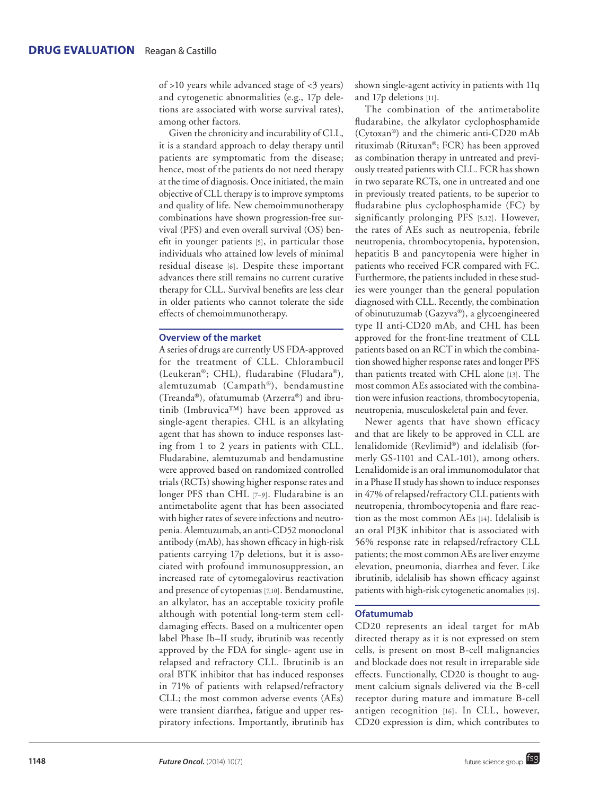of >10 years while advanced stage of <3 years) and cytogenetic abnormalities (e.g., 17p deletions are associated with worse survival rates), among other factors.

Given the chronicity and incurability of CLL, it is a standard approach to delay therapy until patients are symptomatic from the disease; hence, most of the patients do not need therapy at the time of diagnosis. Once initiated, the main objective of CLL therapy is to improve symptoms and quality of life. New chemoimmunotherapy combinations have shown progression-free survival (PFS) and even overall survival (OS) benefit in younger patients [5], in particular those individuals who attained low levels of minimal residual disease [6]. Despite these important advances there still remains no current curative therapy for CLL. Survival benefits are less clear in older patients who cannot tolerate the side effects of chemoimmunotherapy.

## **Overview of the market**

A series of drugs are currently US FDA-approved for the treatment of CLL. Chlorambucil (Leukeran®; CHL), fludarabine (Fludara®), alemtuzumab (Campath®), bendamustine (Treanda®), ofatumumab (Arzerra®) and ibrutinib (Imbruvica™) have been approved as single-agent therapies. CHL is an alkylating agent that has shown to induce responses lasting from 1 to 2 years in patients with CLL. Fludarabine, alemtuzumab and bendamustine were approved based on randomized controlled trials (RCTs) showing higher response rates and longer PFS than CHL [7–9]. Fludarabine is an antimetabolite agent that has been associated with higher rates of severe infections and neutropenia. Alemtuzumab, an anti-CD52 monoclonal antibody (mAb), has shown efficacy in high-risk patients carrying 17p deletions, but it is associated with profound immunosuppression, an increased rate of cytomegalovirus reactivation and presence of cytopenias [7,10]. Bendamustine, an alkylator, has an acceptable toxicity profile although with potential long-term stem celldamaging effects. Based on a multicenter open label Phase Ib–II study, ibrutinib was recently approved by the FDA for single- agent use in relapsed and refractory CLL. Ibrutinib is an oral BTK inhibitor that has induced responses in 71% of patients with relapsed/refractory CLL; the most common adverse events (AEs) were transient diarrhea, fatigue and upper respiratory infections. Importantly, ibrutinib has shown single-agent activity in patients with 11q and 17p deletions [11].

The combination of the antimetabolite fludarabine, the alkylator cyclophosphamide (Cytoxan®) and the chimeric anti-CD20 mAb rituximab (Rituxan®; FCR) has been approved as combination therapy in untreated and previously treated patients with CLL. FCR has shown in two separate RCTs, one in untreated and one in previously treated patients, to be superior to fludarabine plus cyclophosphamide (FC) by significantly prolonging PFS [5,12]. However, the rates of AEs such as neutropenia, febrile neutropenia, thrombocytopenia, hypotension, hepatitis B and pancytopenia were higher in patients who received FCR compared with FC. Furthermore, the patients included in these studies were younger than the general population diagnosed with CLL. Recently, the combination of obinutuzumab (Gazyva®), a glycoengineered type II anti-CD20 mAb, and CHL has been approved for the front-line treatment of CLL patients based on an RCT in which the combination showed higher response rates and longer PFS than patients treated with CHL alone [13]. The most common AEs associated with the combination were infusion reactions, thrombocytopenia, neutropenia, musculoskeletal pain and fever.

Newer agents that have shown efficacy and that are likely to be approved in CLL are lenalidomide (Revlimid®) and idelalisib (formerly GS-1101 and CAL-101), among others. Lenalidomide is an oral immunomodulator that in a Phase II study has shown to induce responses in 47% of relapsed/refractory CLL patients with neutropenia, thrombocytopenia and flare reaction as the most common AEs [14]. Idelalisib is an oral PI3K inhibitor that is associated with 56% response rate in relapsed/refractory CLL patients; the most common AEs are liver enzyme elevation, pneumonia, diarrhea and fever. Like ibrutinib, idelalisib has shown efficacy against patients with high-risk cytogenetic anomalies [15].

#### **Ofatumumab**

CD20 represents an ideal target for mAb directed therapy as it is not expressed on stem cells, is present on most B-cell malignancies and blockade does not result in irreparable side effects. Functionally, CD20 is thought to augment calcium signals delivered via the B-cell receptor during mature and immature B-cell antigen recognition [16]. In CLL, however, CD20 expression is dim, which contributes to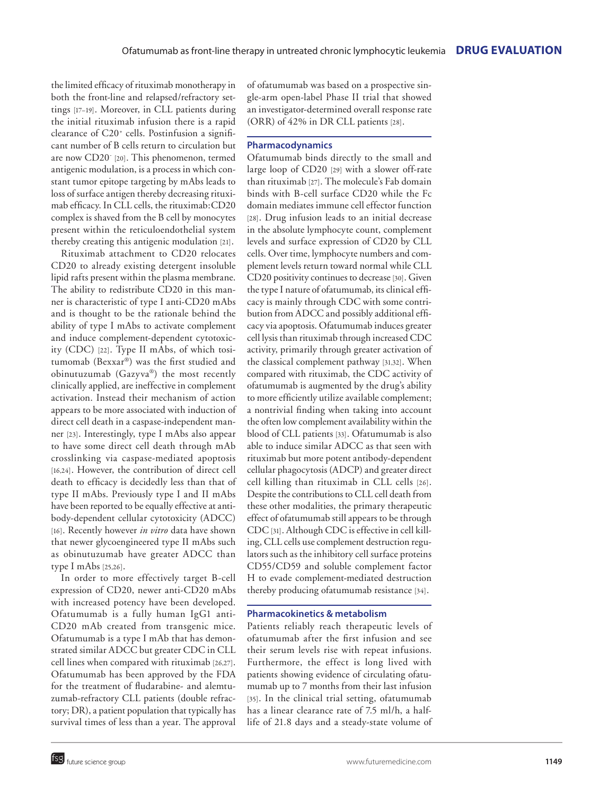the limited efficacy of rituximab monotherapy in both the front-line and relapsed/refractory settings [17–19]. Moreover, in CLL patients during the initial rituximab infusion there is a rapid clearance of C20+ cells. Postinfusion a significant number of B cells return to circulation but are now CD20<sup>-</sup> [20]. This phenomenon, termed antigenic modulation, is a process in which constant tumor epitope targeting by mAbs leads to loss of surface antigen thereby decreasing rituximab efficacy. In CLL cells, the rituximab:CD20 complex is shaved from the B cell by monocytes present within the reticuloendothelial system thereby creating this antigenic modulation [21].

Rituximab attachment to CD20 relocates CD20 to already existing detergent insoluble lipid rafts present within the plasma membrane. The ability to redistribute CD20 in this manner is characteristic of type I anti-CD20 mAbs and is thought to be the rationale behind the ability of type I mAbs to activate complement and induce complement-dependent cytotoxicity (CDC) [22]. Type II mAbs, of which tositumomab (Bexxar®) was the first studied and obinutuzumab (Gazyva®) the most recently clinically applied, are ineffective in complement activation. Instead their mechanism of action appears to be more associated with induction of direct cell death in a caspase-independent manner [23]. Interestingly, type I mAbs also appear to have some direct cell death through mAb crosslinking via caspase-mediated apoptosis [16,24]. However, the contribution of direct cell death to efficacy is decidedly less than that of type II mAbs. Previously type I and II mAbs have been reported to be equally effective at antibody-dependent cellular cytotoxicity (ADCC) [16]. Recently however *in vitro* data have shown that newer glycoengineered type II mAbs such as obinutuzumab have greater ADCC than type I mAbs [25,26].

In order to more effectively target B-cell expression of CD20, newer anti-CD20 mAbs with increased potency have been developed. Ofatumumab is a fully human IgG1 anti-CD20 mAb created from transgenic mice. Ofatumumab is a type I mAb that has demonstrated similar ADCC but greater CDC in CLL cell lines when compared with rituximab [26,27]. Ofatumumab has been approved by the FDA for the treatment of fludarabine- and alemtuzumab-refractory CLL patients (double refractory; DR), a patient population that typically has survival times of less than a year. The approval of ofatumumab was based on a prospective single-arm open-label Phase II trial that showed an investigator-determined overall response rate (ORR) of 42% in DR CLL patients [28].

## **Pharmacodynamics**

Ofatumumab binds directly to the small and large loop of CD20 [29] with a slower off-rate than rituximab [27]. The molecule's Fab domain binds with B-cell surface CD20 while the Fc domain mediates immune cell effector function [28]. Drug infusion leads to an initial decrease in the absolute lymphocyte count, complement levels and surface expression of CD20 by CLL cells. Over time, lymphocyte numbers and complement levels return toward normal while CLL CD20 positivity continues to decrease [30]. Given the type I nature of ofatumumab, its clinical efficacy is mainly through CDC with some contribution from ADCC and possibly additional efficacy via apoptosis. Ofatumumab induces greater cell lysis than rituximab through increased CDC activity, primarily through greater activation of the classical complement pathway [31,32]. When compared with rituximab, the CDC activity of ofatumumab is augmented by the drug's ability to more efficiently utilize available complement; a nontrivial finding when taking into account the often low complement availability within the blood of CLL patients [33]. Ofatumumab is also able to induce similar ADCC as that seen with rituximab but more potent antibody-dependent cellular phagocytosis (ADCP) and greater direct cell killing than rituximab in CLL cells [26]. Despite the contributions to CLL cell death from these other modalities, the primary therapeutic effect of ofatumumab still appears to be through CDC [31]. Although CDC is effective in cell killing, CLL cells use complement destruction regulators such as the inhibitory cell surface proteins CD55/CD59 and soluble complement factor H to evade complement-mediated destruction thereby producing ofatumumab resistance [34].

## **Pharmacokinetics & metabolism**

Patients reliably reach therapeutic levels of ofatumumab after the first infusion and see their serum levels rise with repeat infusions. Furthermore, the effect is long lived with patients showing evidence of circulating ofatumumab up to 7 months from their last infusion [35]. In the clinical trial setting, of atumumab has a linear clearance rate of 7.5 ml/h, a halflife of 21.8 days and a steady-state volume of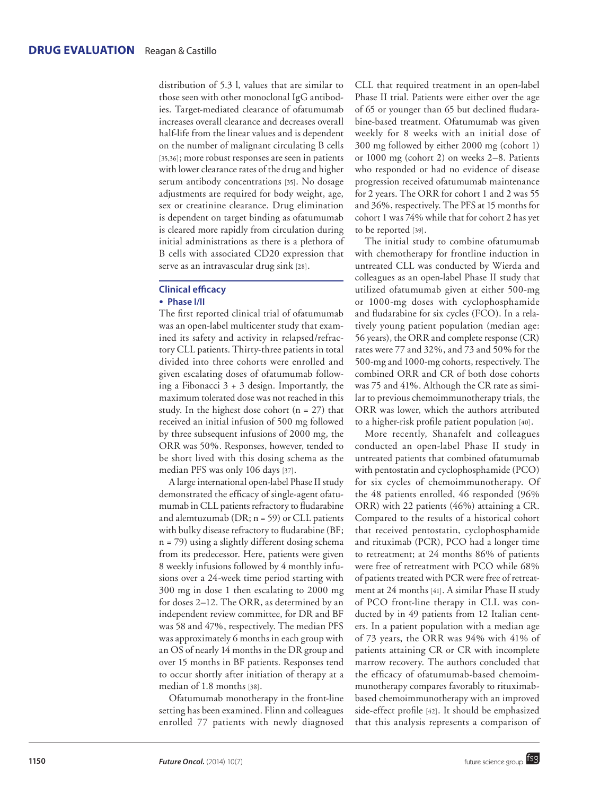distribution of 5.3 l, values that are similar to those seen with other monoclonal IgG antibodies. Target-mediated clearance of ofatumumab increases overall clearance and decreases overall half-life from the linear values and is dependent on the number of malignant circulating B cells [35,36]; more robust responses are seen in patients with lower clearance rates of the drug and higher serum antibody concentrations [35]. No dosage adjustments are required for body weight, age, sex or creatinine clearance. Drug elimination is dependent on target binding as ofatumumab is cleared more rapidly from circulation during initial administrations as there is a plethora of B cells with associated CD20 expression that serve as an intravascular drug sink [28].

## **Clinical efficacy** ● **Phase I/II**

The first reported clinical trial of ofatumumab was an open-label multicenter study that examined its safety and activity in relapsed/refractory CLL patients. Thirty-three patients in total divided into three cohorts were enrolled and given escalating doses of ofatumumab following a Fibonacci  $3 + 3$  design. Importantly, the maximum tolerated dose was not reached in this study. In the highest dose cohort  $(n = 27)$  that received an initial infusion of 500 mg followed by three subsequent infusions of 2000 mg, the ORR was 50%. Responses, however, tended to be short lived with this dosing schema as the median PFS was only 106 days [37].

A large international open-label Phase II study demonstrated the efficacy of single-agent ofatumumab in CLL patients refractory to fludarabine and alemtuzumab ( $DR$ ; n = 59) or CLL patients with bulky disease refractory to fludarabine (BF; n = 79) using a slightly different dosing schema from its predecessor. Here, patients were given 8 weekly infusions followed by 4 monthly infusions over a 24-week time period starting with 300 mg in dose 1 then escalating to 2000 mg for doses 2–12. The ORR, as determined by an independent review committee, for DR and BF was 58 and 47%, respectively. The median PFS was approximately 6 months in each group with an OS of nearly 14 months in the DR group and over 15 months in BF patients. Responses tend to occur shortly after initiation of therapy at a median of 1.8 months [38].

Ofatumumab monotherapy in the front-line setting has been examined. Flinn and colleagues enrolled 77 patients with newly diagnosed

CLL that required treatment in an open-label Phase II trial. Patients were either over the age of 65 or younger than 65 but declined fludarabine-based treatment. Ofatumumab was given weekly for 8 weeks with an initial dose of 300 mg followed by either 2000 mg (cohort 1) or 1000 mg (cohort 2) on weeks 2–8. Patients who responded or had no evidence of disease progression received ofatumumab maintenance for 2 years. The ORR for cohort 1 and 2 was 55 and 36%, respectively. The PFS at 15 months for cohort 1 was 74% while that for cohort 2 has yet to be reported [39].

The initial study to combine ofatumumab with chemotherapy for frontline induction in untreated CLL was conducted by Wierda and colleagues as an open-label Phase II study that utilized ofatumumab given at either 500-mg or 1000-mg doses with cyclophosphamide and fludarabine for six cycles (FCO). In a relatively young patient population (median age: 56 years), the ORR and complete response (CR) rates were 77 and 32%, and 73 and 50% for the 500-mg and 1000-mg cohorts, respectively. The combined ORR and CR of both dose cohorts was 75 and 41%. Although the CR rate as similar to previous chemoimmunotherapy trials, the ORR was lower, which the authors attributed to a higher-risk profile patient population [40].

More recently, Shanafelt and colleagues conducted an open-label Phase II study in untreated patients that combined ofatumumab with pentostatin and cyclophosphamide (PCO) for six cycles of chemoimmunotherapy. Of the 48 patients enrolled, 46 responded (96% ORR) with 22 patients (46%) attaining a CR. Compared to the results of a historical cohort that received pentostatin, cyclophosphamide and rituximab (PCR), PCO had a longer time to retreatment; at 24 months 86% of patients were free of retreatment with PCO while 68% of patients treated with PCR were free of retreatment at 24 months [41]. A similar Phase II study of PCO front-line therapy in CLL was conducted by in 49 patients from 12 Italian centers. In a patient population with a median age of 73 years, the ORR was 94% with 41% of patients attaining CR or CR with incomplete marrow recovery. The authors concluded that the efficacy of ofatumumab-based chemoimmunotherapy compares favorably to rituximabbased chemoimmunotherapy with an improved side-effect profile [42]. It should be emphasized that this analysis represents a comparison of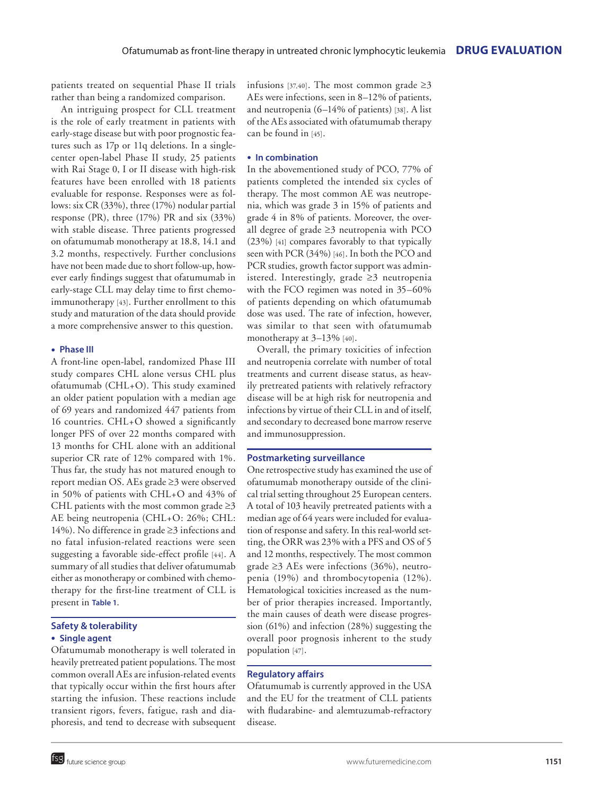patients treated on sequential Phase II trials rather than being a randomized comparison.

An intriguing prospect for CLL treatment is the role of early treatment in patients with early-stage disease but with poor prognostic features such as 17p or 11q deletions. In a singlecenter open-label Phase II study, 25 patients with Rai Stage 0, I or II disease with high-risk features have been enrolled with 18 patients evaluable for response. Responses were as follows: six CR (33%), three (17%) nodular partial response (PR), three (17%) PR and six (33%) with stable disease. Three patients progressed on ofatumumab monotherapy at 18.8, 14.1 and 3.2 months, respectively. Further conclusions have not been made due to short follow-up, however early findings suggest that ofatumumab in early-stage CLL may delay time to first chemoimmunotherapy [43]. Further enrollment to this study and maturation of the data should provide a more comprehensive answer to this question.

## ● **Phase III**

A front-line open-label, randomized Phase III study compares CHL alone versus CHL plus ofatumumab (CHL+O). This study examined an older patient population with a median age of 69 years and randomized 447 patients from 16 countries. CHL+O showed a significantly longer PFS of over 22 months compared with 13 months for CHL alone with an additional superior CR rate of 12% compared with 1%. Thus far, the study has not matured enough to report median OS. AEs grade ≥3 were observed in 50% of patients with CHL+O and 43% of CHL patients with the most common grade  $\geq$ 3 AE being neutropenia (CHL+O: 26%; CHL: 14%). No difference in grade ≥3 infections and no fatal infusion-related reactions were seen suggesting a favorable side-effect profile [44]. A summary of all studies that deliver ofatumumab either as monotherapy or combined with chemotherapy for the first-line treatment of CLL is present in **Table 1**.

## **Safety & tolerability**

## ● **Single agent**

Ofatumumab monotherapy is well tolerated in heavily pretreated patient populations. The most common overall AEs are infusion-related events that typically occur within the first hours after starting the infusion. These reactions include transient rigors, fevers, fatigue, rash and diaphoresis, and tend to decrease with subsequent infusions [37,40]. The most common grade  $\geq 3$ AEs were infections, seen in 8–12% of patients, and neutropenia (6–14% of patients) [38]. A list of the AEs associated with ofatumumab therapy can be found in [45].

## ● **In combination**

In the abovementioned study of PCO, 77% of patients completed the intended six cycles of therapy. The most common AE was neutropenia, which was grade 3 in 15% of patients and grade 4 in 8% of patients. Moreover, the overall degree of grade ≥3 neutropenia with PCO (23%) [41] compares favorably to that typically seen with PCR (34%) [46]. In both the PCO and PCR studies, growth factor support was administered. Interestingly, grade ≥3 neutropenia with the FCO regimen was noted in 35–60% of patients depending on which ofatumumab dose was used. The rate of infection, however, was similar to that seen with ofatumumab monotherapy at 3–13% [40].

Overall, the primary toxicities of infection and neutropenia correlate with number of total treatments and current disease status, as heavily pretreated patients with relatively refractory disease will be at high risk for neutropenia and infections by virtue of their CLL in and of itself, and secondary to decreased bone marrow reserve and immunosuppression.

## **Postmarketing surveillance**

One retrospective study has examined the use of ofatumumab monotherapy outside of the clinical trial setting throughout 25 European centers. A total of 103 heavily pretreated patients with a median age of 64 years were included for evaluation of response and safety. In this real-world setting, the ORR was 23% with a PFS and OS of 5 and 12 months, respectively. The most common grade  $\geq$ 3 AEs were infections (36%), neutropenia (19%) and thrombocytopenia (12%). Hematological toxicities increased as the number of prior therapies increased. Importantly, the main causes of death were disease progression (61%) and infection (28%) suggesting the overall poor prognosis inherent to the study population [47].

## **Regulatory affairs**

Ofatumumab is currently approved in the USA and the EU for the treatment of CLL patients with fludarabine- and alemtuzumab-refractory disease.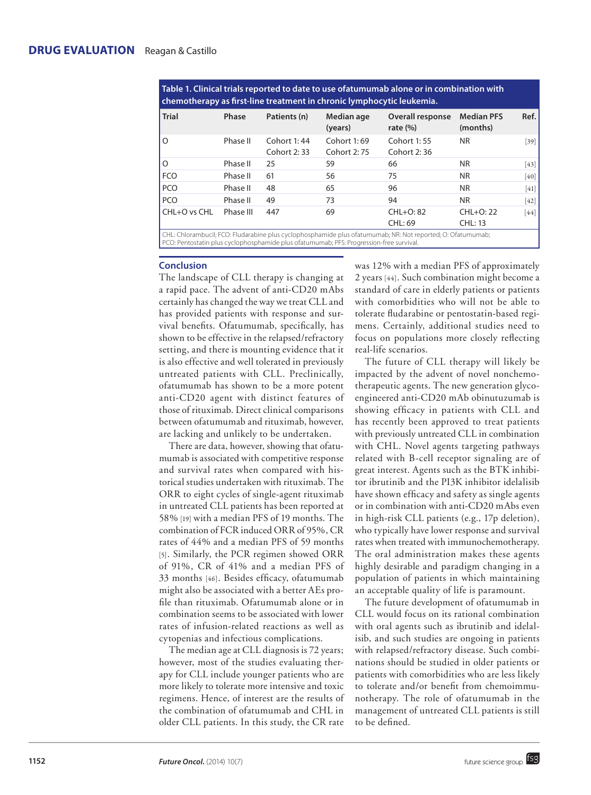| chemotherapy as first-line treatment in chronic lymphocytic leukemia. |                            |                            |                                 |                               |                                                                                                                                   |
|-----------------------------------------------------------------------|----------------------------|----------------------------|---------------------------------|-------------------------------|-----------------------------------------------------------------------------------------------------------------------------------|
| Phase                                                                 | Patients (n)               | Median age<br>(years)      | Overall response<br>rate $(\%)$ | <b>Median PFS</b><br>(months) | Ref.                                                                                                                              |
| Phase II                                                              | Cohort 1:44<br>Cohort 2:33 | Cohort 1:69<br>Cohort 2:75 | Cohort 1:55<br>Cohort 2:36      | <b>NR</b>                     | $[39]$                                                                                                                            |
| Phase II                                                              | 25                         | 59                         | 66                              | <b>NR</b>                     | $[43]$                                                                                                                            |
| Phase II                                                              | 61                         | 56                         | 75                              | <b>NR</b>                     | $[40]$                                                                                                                            |
| Phase II                                                              | 48                         | 65                         | 96                              | <b>NR</b>                     | [41]                                                                                                                              |
| Phase II                                                              | 49                         | 73                         | 94                              | <b>NR</b>                     | $[42]$                                                                                                                            |
| Phase III                                                             | 447                        | 69                         | CHL+O: 82<br>CHL: 69            | $CHL+O: 22$<br><b>CHL: 13</b> | $[44]$                                                                                                                            |
|                                                                       |                            |                            |                                 |                               | CHE Chlassachi (all ECO) Elistas della sulta di suda della sulta sulta afati militardi ND. National sulta di Ol Ofati militardi i |

**Table 1. Clinical trials reported to date to use ofatumumab alone or in combination with** 

CHL: Chlorambucil; FCO: Fludarabine plus cyclophosphamide plus ofatumumab; NR: Not reported; O: Ofatumumab; PCO: Pentostatin plus cyclophosphamide plus ofatumumab; PFS: Progression-free survival.

## **Conclusion**

The landscape of CLL therapy is changing at a rapid pace. The advent of anti-CD20 mAbs certainly has changed the way we treat CLL and has provided patients with response and survival benefits. Ofatumumab, specifically, has shown to be effective in the relapsed/refractory setting, and there is mounting evidence that it is also effective and well tolerated in previously untreated patients with CLL. Preclinically, ofatumumab has shown to be a more potent anti-CD20 agent with distinct features of those of rituximab. Direct clinical comparisons between ofatumumab and rituximab, however, are lacking and unlikely to be undertaken.

There are data, however, showing that ofatumumab is associated with competitive response and survival rates when compared with historical studies undertaken with rituximab. The ORR to eight cycles of single-agent rituximab in untreated CLL patients has been reported at 58% [19] with a median PFS of 19 months. The combination of FCR induced ORR of 95%, CR rates of 44% and a median PFS of 59 months [5]. Similarly, the PCR regimen showed ORR of 91%, CR of 41% and a median PFS of 33 months [46]. Besides efficacy, ofatumumab might also be associated with a better AEs profile than rituximab. Ofatumumab alone or in combination seems to be associated with lower rates of infusion-related reactions as well as cytopenias and infectious complications.

The median age at CLL diagnosis is 72 years; however, most of the studies evaluating therapy for CLL include younger patients who are more likely to tolerate more intensive and toxic regimens. Hence, of interest are the results of the combination of ofatumumab and CHL in older CLL patients. In this study, the CR rate was 12% with a median PFS of approximately 2 years [44]. Such combination might become a standard of care in elderly patients or patients with comorbidities who will not be able to tolerate fludarabine or pentostatin-based regimens. Certainly, additional studies need to focus on populations more closely reflecting real-life scenarios.

The future of CLL therapy will likely be impacted by the advent of novel nonchemotherapeutic agents. The new generation glycoengineered anti-CD20 mAb obinutuzumab is showing efficacy in patients with CLL and has recently been approved to treat patients with previously untreated CLL in combination with CHL. Novel agents targeting pathways related with B-cell receptor signaling are of great interest. Agents such as the BTK inhibitor ibrutinib and the PI3K inhibitor idelalisib have shown efficacy and safety as single agents or in combination with anti-CD20 mAbs even in high-risk CLL patients (e.g., 17p deletion), who typically have lower response and survival rates when treated with immunochemotherapy. The oral administration makes these agents highly desirable and paradigm changing in a population of patients in which maintaining an acceptable quality of life is paramount.

The future development of ofatumumab in CLL would focus on its rational combination with oral agents such as ibrutinib and idelalisib, and such studies are ongoing in patients with relapsed/refractory disease. Such combinations should be studied in older patients or patients with comorbidities who are less likely to tolerate and/or benefit from chemoimmunotherapy. The role of ofatumumab in the management of untreated CLL patients is still to be defined.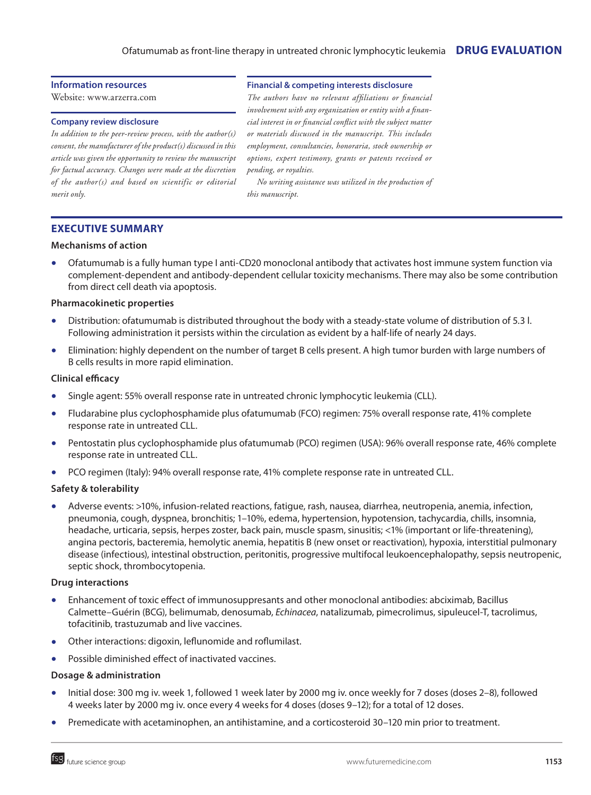## Ofatumumab as front-line therapy in untreated chronic lymphocytic leukemia **DRUG EVALUATION**

## **Information resources**

Website: www.arzerra.com

#### **Company review disclosure**

*In addition to the peer-review process, with the author(s) consent, the manufacturer of the product(s) discussed in this article was given the opportunity to review the manuscript for factual accuracy. Changes were made at the discretion of the author(s) and based on scientific or editorial merit only.*

#### **Financial & competing interests disclosure**

*The authors have no relevant affiliations or financial involvement with any organization or entity with a financial interest in or financial conflict with the subject matter or materials discussed in the manuscript. This includes employment, consultancies, honoraria, stock ownership or options, expert testimony, grants or patents received or pending, or royalties.*

*No writing assistance was utilized in the production of this manuscript.*

## **Executive summary**

## **Mechanisms of action**

Ofatumumab is a fully human type I anti-CD20 monoclonal antibody that activates host immune system function via complement-dependent and antibody-dependent cellular toxicity mechanisms. There may also be some contribution from direct cell death via apoptosis.

## **Pharmacokinetic properties**

- Distribution: ofatumumab is distributed throughout the body with a steady-state volume of distribution of 5.3 l. Following administration it persists within the circulation as evident by a half-life of nearly 24 days.
- Elimination: highly dependent on the number of target B cells present. A high tumor burden with large numbers of B cells results in more rapid elimination.

## **Clinical efficacy**

- Single agent: 55% overall response rate in untreated chronic lymphocytic leukemia (CLL).
- Fludarabine plus cyclophosphamide plus ofatumumab (FCO) regimen: 75% overall response rate, 41% complete response rate in untreated CLL.
- Pentostatin plus cyclophosphamide plus ofatumumab (PCO) regimen (USA): 96% overall response rate, 46% complete response rate in untreated CLL.
- PCO regimen (Italy): 94% overall response rate, 41% complete response rate in untreated CLL.

## **Safety & tolerability**

Adverse events: >10%, infusion-related reactions, fatigue, rash, nausea, diarrhea, neutropenia, anemia, infection, pneumonia, cough, dyspnea, bronchitis; 1–10%, edema, hypertension, hypotension, tachycardia, chills, insomnia, headache, urticaria, sepsis, herpes zoster, back pain, muscle spasm, sinusitis; <1% (important or life-threatening), angina pectoris, bacteremia, hemolytic anemia, hepatitis B (new onset or reactivation), hypoxia, interstitial pulmonary disease (infectious), intestinal obstruction, peritonitis, progressive multifocal leukoencephalopathy, sepsis neutropenic, septic shock, thrombocytopenia.

### **Drug interactions**

- Enhancement of toxic effect of immunosuppresants and other monoclonal antibodies: abciximab, Bacillus Calmette–Guérin (BCG), belimumab, denosumab, *Echinacea*, natalizumab, pimecrolimus, sipuleucel-T, tacrolimus, tofacitinib, trastuzumab and live vaccines.
- Other interactions: digoxin, leflunomide and roflumilast.
- Possible diminished effect of inactivated vaccines.

#### **Dosage & administration**

- Initial dose: 300 mg iv. week 1, followed 1 week later by 2000 mg iv. once weekly for 7 doses (doses 2–8), followed 4 weeks later by 2000 mg iv. once every 4 weeks for 4 doses (doses 9–12); for a total of 12 doses.
- Premedicate with acetaminophen, an antihistamine, and a corticosteroid 30–120 min prior to treatment.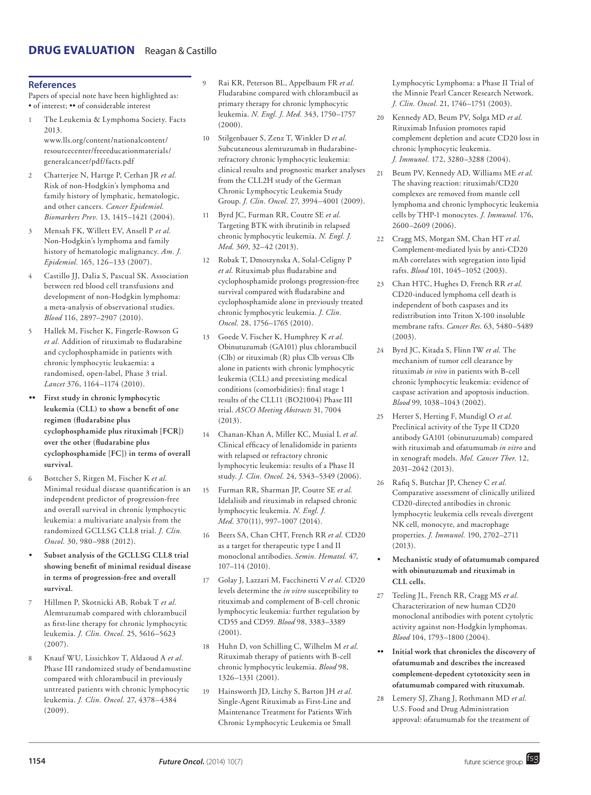## **References**

Papers of special note have been highlighted as: • of interest; •• of considerable interest

- The Leukemia & Lymphoma Society. Facts 2013. www.lls.org/content/nationalcontent/ resourcecenter/freeeducationmaterials/ generalcancer/pdf/facts.pdf
- 2 Chatterjee N, Hartge P, Cerhan JR *et al.* Risk of non-Hodgkin's lymphoma and family history of lymphatic, hematologic, and other cancers. *Cancer Epidemiol. Biomarkers Prev.* 13, 1415–1421 (2004).
- 3 Mensah FK, Willett EV, Ansell P *et al.* Non-Hodgkin's lymphoma and family history of hematologic malignancy. *Am. J. Epidemiol.* 165, 126–133 (2007).
- 4 Castillo JJ, Dalia S, Pascual SK. Association between red blood cell transfusions and development of non-Hodgkin lymphoma: a meta-analysis of observational studies. *Blood* 116, 2897–2907 (2010).
- 5 Hallek M, Fischer K, Fingerle-Rowson G *et al.* Addition of rituximab to fludarabine and cyclophosphamide in patients with chronic lymphocytic leukaemia: a randomised, open-label, Phase 3 trial. *Lancet* 376, 1164–1174 (2010).
- First study in chronic lymphocytic **leukemia (CLL) to show a benefit of one regimen (fludarabine plus cyclophosphamide plus rituximab [FCR]) over the other (fludarabine plus cyclophosphamide [FC]) in terms of overall survival.**
- 6 Bottcher S, Ritgen M, Fischer K *et al.* Minimal residual disease quantification is an independent predictor of progression-free and overall survival in chronic lymphocytic leukemia: a multivariate analysis from the randomized GCLLSG CLL8 trial. *J. Clin. Oncol.* 30, 980–988 (2012).
- **• Subset analysis of the GCLLSG CLL8 trial showing benefit of minimal residual disease in terms of progression-free and overall survival.**
- 7 Hillmen P, Skotnicki AB, Robak T *et al.* Alemtuzumab compared with chlorambucil as first-line therapy for chronic lymphocytic leukemia. *J. Clin. Oncol.* 25, 5616–5623 (2007).
- 8 Knauf WU, Lissichkov T, Aldaoud A *et al.* Phase III randomized study of bendamustine compared with chlorambucil in previously untreated patients with chronic lymphocytic leukemia. *J. Clin. Oncol.* 27, 4378–4384 (2009).
- 9 Rai KR, Peterson BL, Appelbaum FR *et al.* Fludarabine compared with chlorambucil as primary therapy for chronic lymphocytic leukemia. *N. Engl. J. Med.* 343, 1750–1757 (2000).
- 10 Stilgenbauer S, Zenz T, Winkler D *et al.* Subcutaneous alemtuzumab in fludarabinerefractory chronic lymphocytic leukemia: clinical results and prognostic marker analyses from the CLL2H study of the German Chronic Lymphocytic Leukemia Study Group. *J. Clin. Oncol.* 27, 3994–4001 (2009).
- 11 Byrd JC, Furman RR, Coutre SE *et al.* Targeting BTK with ibrutinib in relapsed chronic lymphocytic leukemia. *N. Engl. J. Med.* 369, 32–42 (2013).
- 12 Robak T, Dmoszynska A, Solal-Celigny P *et al.* Rituximab plus fludarabine and cyclophosphamide prolongs progression-free survival compared with fludarabine and cyclophosphamide alone in previously treated chronic lymphocytic leukemia. *J. Clin. Oncol.* 28, 1756–1765 (2010).
- 13 Goede V, Fischer K, Humphrey K *et al.* Obinutuzumab (GA101) plus chlorambucil (Clb) or rituximab (R) plus Clb versus Clb alone in patients with chronic lymphocytic leukemia (CLL) and preexisting medical conditions (comorbidities): final stage 1 results of the CLL11 (BO21004) Phase III trial. *ASCO Meeting Abstracts* 31, 7004 (2013).
- 14 Chanan-Khan A, Miller KC, Musial L *et al.* Clinical efficacy of lenalidomide in patients with relapsed or refractory chronic lymphocytic leukemia: results of a Phase II study. *J. Clin. Oncol.* 24, 5343–5349 (2006).
- 15 Furman RR, Sharman JP, Coutre SE *et al.* Idelalisib and rituximab in relapsed chronic lymphocytic leukemia. *N. Engl. J. Med.* 370(11), 997–1007 (2014).
- 16 Beers SA, Chan CHT, French RR *et al.* CD20 as a target for therapeutic type I and II monoclonal antibodies. *Semin. Hematol.* 47, 107–114 (2010).
- 17 Golay J, Lazzari M, Facchinetti V *et al.* CD20 levels determine the *in vitro* susceptibility to rituximab and complement of B-cell chronic lymphocytic leukemia: further regulation by CD55 and CD59. *Blood* 98, 3383–3389 (2001).
- 18 Huhn D, von Schilling C, Wilhelm M *et al.* Rituximab therapy of patients with B-cell chronic lymphocytic leukemia. *Blood* 98, 1326–1331 (2001).
- 19 Hainsworth JD, Litchy S, Barton JH *et al.* Single-Agent Rituximab as First-Line and Maintenance Treatment for Patients With Chronic Lymphocytic Leukemia or Small

Lymphocytic Lymphoma: a Phase II Trial of the Minnie Pearl Cancer Research Network. *J. Clin. Oncol.* 21, 1746–1751 (2003).

- 20 Kennedy AD, Beum PV, Solga MD *et al.* Rituximab Infusion promotes rapid complement depletion and acute CD20 loss in chronic lymphocytic leukemia. *J. Immunol.* 172, 3280–3288 (2004).
- 21 Beum PV, Kennedy AD, Williams ME *et al.* The shaving reaction: rituximab/CD20 complexes are removed from mantle cell lymphoma and chronic lymphocytic leukemia cells by THP-1 monocytes. *J. Immunol.* 176, 2600–2609 (2006).
- 22 Cragg MS, Morgan SM, Chan HT *et al.* Complement-mediated lysis by anti-CD20 mAb correlates with segregation into lipid rafts. *Blood* 101, 1045–1052 (2003).
- 23 Chan HTC, Hughes D, French RR *et al.* CD20-induced lymphoma cell death is independent of both caspases and its redistribution into Triton X-100 insoluble membrane rafts. *Cancer Res.* 63, 5480–5489 (2003).
- 24 Byrd JC, Kitada S, Flinn IW *et al.* The mechanism of tumor cell clearance by rituximab *in vivo* in patients with B-cell chronic lymphocytic leukemia: evidence of caspase activation and apoptosis induction. *Blood* 99, 1038–1043 (2002).
- 25 Herter S, Herting F, Mundigl O *et al.* Preclinical activity of the Type II CD20 antibody GA101 (obinutuzumab) compared with rituximab and ofatumumab *in vitro* and in xenograft models. *Mol. Cancer Ther.* 12, 2031–2042 (2013).
- 26 Rafiq S, Butchar JP, Cheney C *et al.* Comparative assessment of clinically utilized CD20-directed antibodies in chronic lymphocytic leukemia cells reveals divergent NK cell, monocyte, and macrophage properties. *J. Immunol.* 190, 2702–2711 (2013).
- **• Mechanistic study of ofatumumab compared with obinutuzumab and rituximab in CLL cells.**
- 27 Teeling JL, French RR, Cragg MS *et al.* Characterization of new human CD20 monoclonal antibodies with potent cytolytic activity against non-Hodgkin lymphomas. *Blood* 104, 1793–1800 (2004).
- **•• Initial work that chronicles the discovery of ofatumumab and describes the increased complement-depedent cytotoxicity seen in ofatumumab compared with rituxumab.**
- 28 Lemery SJ, Zhang J, Rothmann MD *et al.* U.S. Food and Drug Administration approval: ofatumumab for the treatment of